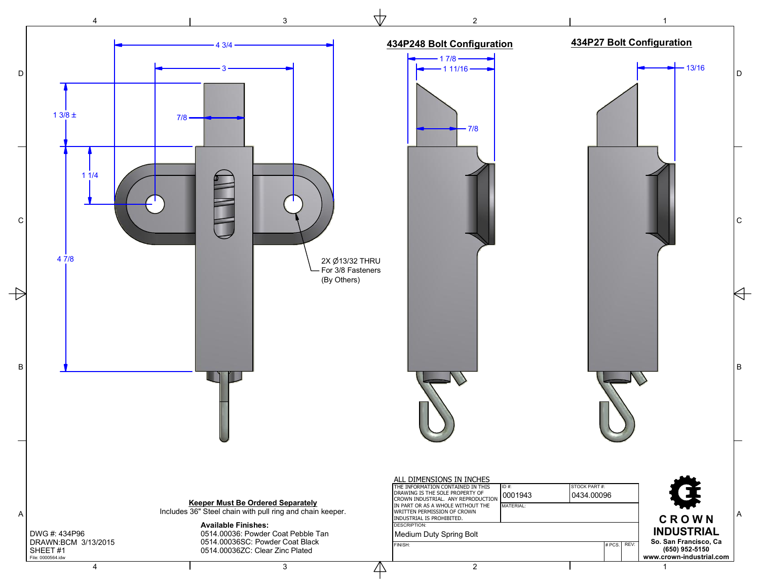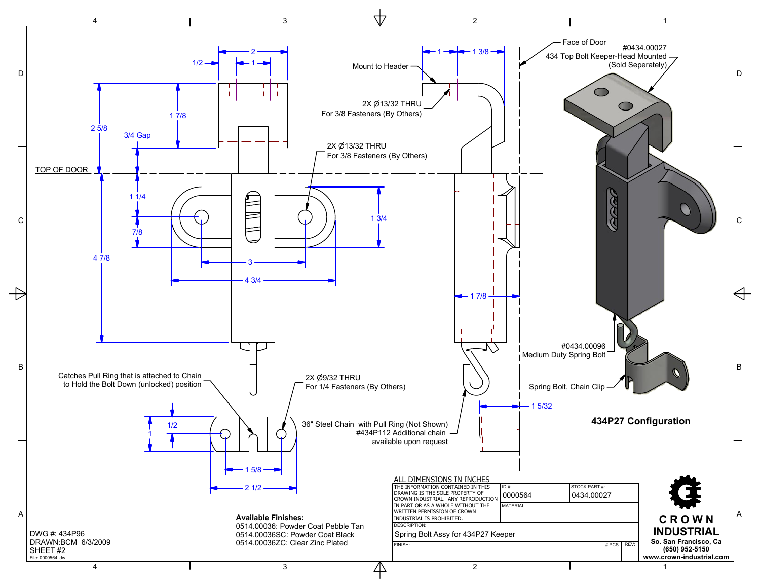